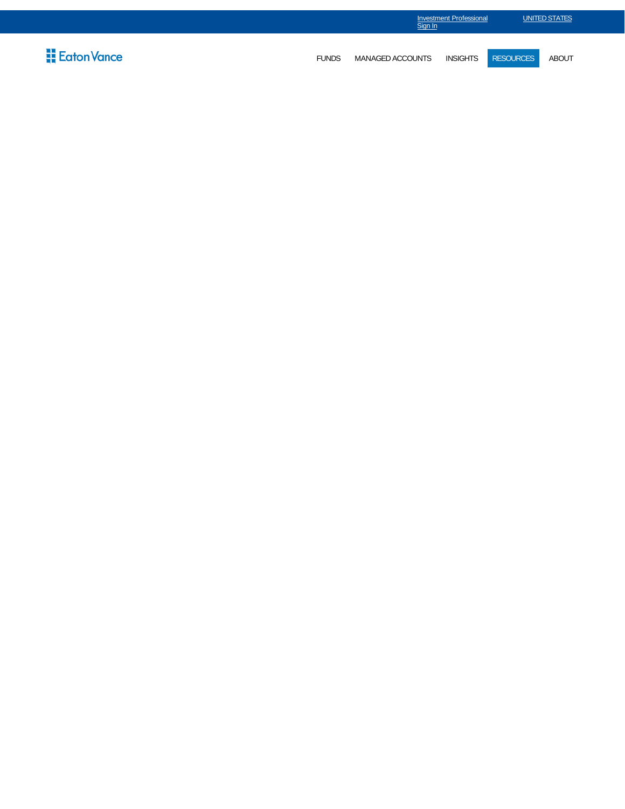|                             |              | Investment Professional<br>Sign In |          | UNITED STATES    |              |  |
|-----------------------------|--------------|------------------------------------|----------|------------------|--------------|--|
| $\frac{11}{11}$ Eaton Vance | <b>FUNDS</b> | MANAGED ACCOUNTS                   | INSIGHTS | <b>RESOURCES</b> | <b>ABOUT</b> |  |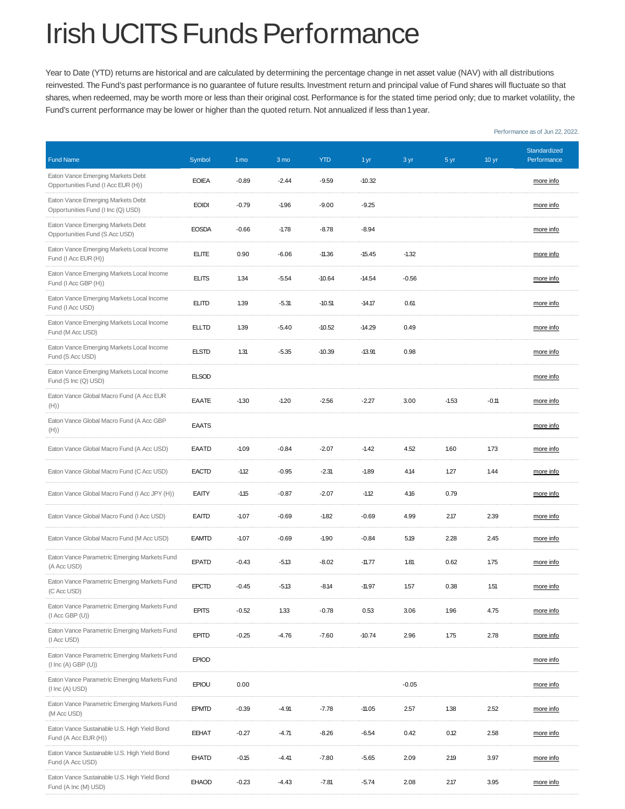## Irish UCITS Funds Performance

Year to Date (YTD) returns are historical and are calculated by determining the percentage change in net asset value (NAV) with all distributions reinvested. The Fund's past performance is no guarantee of future results. Investment return and principal value of Fund shares will fluctuate so that shares, when redeemed, may be worth more or less than their original cost. Performance is for the stated time period only; due to market volatility, the Fund's current performance may be lower or higher than the quoted return. Not annualized if less than 1 year.

| <b>Fund Name</b>                                                                   | Symbol       | 1 <sub>mo</sub> | 3 mo    | <b>YTD</b> | 1 yr     | 3 yr    | 5 yr    | 10 <sub>yr</sub> | Standardized<br>Performance |
|------------------------------------------------------------------------------------|--------------|-----------------|---------|------------|----------|---------|---------|------------------|-----------------------------|
| Eaton Vance Emerging Markets Debt<br>Opportunities Fund (I Acc EUR (H))            | <b>EOIEA</b> | $-0.89$         | $-2.44$ | $-9.59$    | $-10.32$ |         |         |                  | more info                   |
| Eaton Vance Emerging Markets Debt<br>Opportunities Fund (I Inc (Q) USD)            | <b>EOIDI</b> | $-0.79$         | $-1.96$ | $-9.00$    | $-9.25$  |         |         |                  | more info                   |
| Eaton Vance Emerging Markets Debt<br>Opportunities Fund (S Acc USD)                | <b>EOSDA</b> | $-0.66$         | $-1.78$ | $-8.78$    | $-8.94$  |         |         |                  | more info                   |
| Eaton Vance Emerging Markets Local Income<br>Fund (I Acc EUR (H))                  | <b>ELITE</b> | 0.90            | $-6.06$ | $-11.36$   | $-15.45$ | $-1.32$ |         |                  | more info                   |
| Eaton Vance Emerging Markets Local Income<br>Fund (I Acc GBP (H))                  | <b>ELITS</b> | 1.34            | $-5.54$ | $-10.64$   | $-14.54$ | $-0.56$ |         |                  | more info                   |
| Eaton Vance Emerging Markets Local Income<br>Fund (I Acc USD)                      | <b>ELITD</b> | 1.39            | $-5.31$ | $-10.51$   | $-14.17$ | 0.61    |         |                  | more info                   |
| Eaton Vance Emerging Markets Local Income<br>Fund (M Acc USD)                      | <b>ELLTD</b> | 1.39            | $-5.40$ | $-10.52$   | $-14.29$ | 0.49    |         |                  | more info                   |
| Eaton Vance Emerging Markets Local Income<br>Fund (S Acc USD)                      | <b>ELSTD</b> | 1.31            | $-5.35$ | $-10.39$   | $-13.91$ | 0.98    |         |                  | more info                   |
| Eaton Vance Emerging Markets Local Income<br>Fund (S Inc (Q) USD)                  | <b>ELSOD</b> |                 |         |            |          |         |         |                  | more info                   |
| Eaton Vance Global Macro Fund (A Acc EUR<br>(H))                                   | EAATE        | $-1.30$         | $-1.20$ | $-2.56$    | $-2.27$  | 3.00    | $-1.53$ | $-0.11$          | more info                   |
| Eaton Vance Global Macro Fund (A Acc GBP<br>(H))                                   | <b>EAATS</b> |                 |         |            |          |         |         |                  | more info                   |
| Eaton Vance Global Macro Fund (A Acc USD)                                          | <b>EAATD</b> | $-1.09$         | $-0.84$ | $-2.07$    | $-1.42$  | 4.52    | 1.60    | 1.73             | more info                   |
| Eaton Vance Global Macro Fund (C Acc USD)                                          | <b>EACTD</b> | $-1.12$         | $-0.95$ | $-2.31$    | $-1.89$  | 4.14    | 1.27    | 1.44             | more info                   |
| Eaton Vance Global Macro Fund (I Acc JPY (H))                                      | EAITY        | $-1.15$         | $-0.87$ | $-2.07$    | $-1.12$  | 4.16    | 0.79    |                  | more info                   |
| Eaton Vance Global Macro Fund (I Acc USD)                                          | <b>EAITD</b> | $-1.07$         | $-0.69$ | $-1.82$    | $-0.69$  | 4.99    | 2.17    | 2.39             | more info                   |
| Eaton Vance Global Macro Fund (M Acc USD)                                          | <b>EAMTD</b> | $-1.07$         | $-0.69$ | $-1.90$    | $-0.84$  | 5.19    | 2.28    | 2.45             | more info                   |
| Eaton Vance Parametric Emerging Markets Fund<br>(A Acc USD)                        | EPATD        | $-0.43$         | $-5.13$ | $-8.02$    | $-11.77$ | 1.81    | 0.62    | 1.75             | more info                   |
| Eaton Vance Parametric Emerging Markets Fund<br>(C Acc USD)                        | <b>EPCTD</b> | $-0.45$         | $-5.13$ | -8.14      | $-11.97$ | 1.57    | 0.38    | 1.51             | more info                   |
| Eaton Vance Parametric Emerging Markets Fund<br>$(I$ Acc GBP $(U)$                 | <b>EPITS</b> | $-0.52$         | 1.33    | $-0.78$    | 0.53     | 3.06    | 1.96    | 4.75             | more info                   |
| Eaton Vance Parametric Emerging Markets Fund<br>(I Acc USD)                        | <b>EPITD</b> | $-0.25$         | $-4.76$ | $-7.60$    | $-10.74$ | 2.96    | 1.75    | 2.78             | more info                   |
| Eaton Vance Parametric Emerging Markets Fund<br>(1 Inc (A) GBP (U))                | <b>EPIOD</b> |                 |         |            |          |         |         |                  | more info                   |
| Eaton Vance Parametric Emerging Markets Fund<br>$(1 \text{ Inc } (A) \text{ USD})$ | <b>EPIOU</b> | 0.00            |         |            |          | $-0.05$ |         |                  | more info                   |
| Eaton Vance Parametric Emerging Markets Fund<br>(M Acc USD)                        | <b>EPMTD</b> | $-0.39$         | $-4.91$ | $-7.78$    | $-11.05$ | 2.57    | 1.38    | 2.52             | more info                   |
| Eaton Vance Sustainable U.S. High Yield Bond<br>Fund (A Acc EUR (H))               | <b>EEHAT</b> | $-0.27$         | $-4.71$ | $-8.26$    | $-6.54$  | 0.42    | 0.12    | 2.58             | more info                   |
| Eaton Vance Sustainable U.S. High Yield Bond<br>Fund (A Acc USD)                   | EHATD        | $-0.15$         | $-4.41$ | $-7.80$    | $-5.65$  | 2.09    | 2.19    | 3.97             | more info                   |
| Eaton Vance Sustainable U.S. High Yield Bond<br>Fund (A Inc (M) USD)               | <b>EHAOD</b> | $-0.23$         | $-4.43$ | $-7.81$    | $-5.74$  | 2.08    | 2.17    | 3.95             | more info                   |

Performance as of Jun 22, 2022.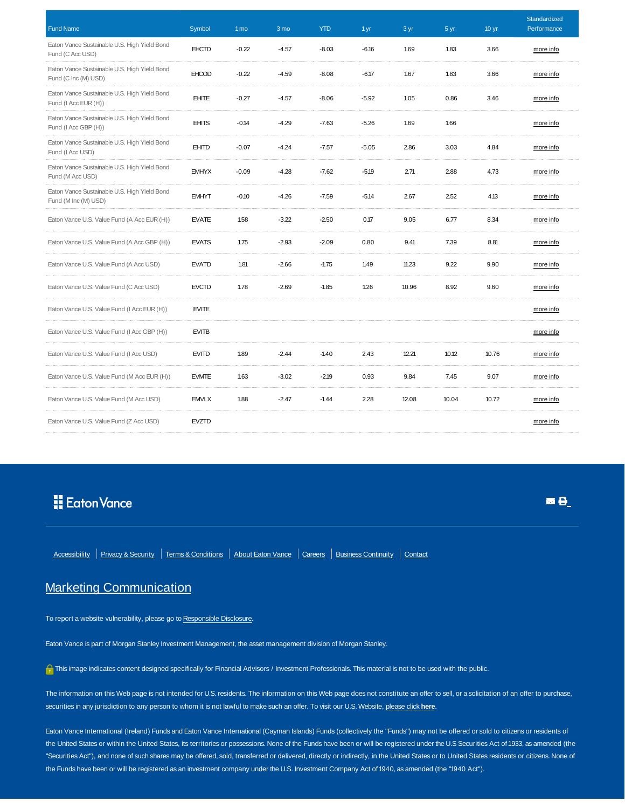| <b>Fund Name</b>                                                     | Symbol       | 1 <sub>mo</sub> | 3 mo    | <b>YTD</b> | 1 yr    | 3 yr  | 5 yr  | 10 <sub>yr</sub> | Standardized<br>Performance |
|----------------------------------------------------------------------|--------------|-----------------|---------|------------|---------|-------|-------|------------------|-----------------------------|
| Eaton Vance Sustainable U.S. High Yield Bond<br>Fund (C Acc USD)     | <b>EHCTD</b> | $-0.22$         | $-4.57$ | $-8.03$    | $-6.16$ | 1.69  | 1.83  | 3.66             | more info                   |
| Eaton Vance Sustainable U.S. High Yield Bond<br>Fund (C Inc (M) USD) | <b>EHCOD</b> | $-0.22$         | $-4.59$ | $-8.08$    | $-6.17$ | 1.67  | 1.83  | 3.66             | more info                   |
| Eaton Vance Sustainable U.S. High Yield Bond<br>Fund (I Acc EUR (H)) | <b>EHITE</b> | $-0.27$         | $-4.57$ | $-8.06$    | $-5.92$ | 1.05  | 0.86  | 3.46             | more info                   |
| Eaton Vance Sustainable U.S. High Yield Bond<br>Fund (I Acc GBP (H)) | <b>EHITS</b> | $-0.14$         | $-4.29$ | $-7.63$    | $-5.26$ | 1.69  | 1.66  |                  | more info                   |
| Eaton Vance Sustainable U.S. High Yield Bond<br>Fund (I Acc USD)     | <b>EHITD</b> | $-0.07$         | $-4.24$ | $-7.57$    | $-5.05$ | 2.86  | 3.03  | 4.84             | more info                   |
| Eaton Vance Sustainable U.S. High Yield Bond<br>Fund (M Acc USD)     | <b>EMHYX</b> | $-0.09$         | $-4.28$ | $-7.62$    | $-5.19$ | 2.71  | 2.88  | 4.73             | more info                   |
| Eaton Vance Sustainable U.S. High Yield Bond<br>Fund (M Inc (M) USD) | <b>EMHYT</b> | $-0.10$         | $-4.26$ | $-7.59$    | $-5.14$ | 2.67  | 2.52  | 4.13             | more info                   |
| Eaton Vance U.S. Value Fund (A Acc EUR (H))                          | <b>EVATE</b> | 1.58            | $-3.22$ | $-2.50$    | 0.17    | 9.05  | 6.77  | 8.34             | more info                   |
| Eaton Vance U.S. Value Fund (A Acc GBP (H))                          | <b>EVATS</b> | 1.75            | $-2.93$ | $-2.09$    | 0.80    | 9.41  | 7.39  | 8.81             | more info                   |
| Eaton Vance U.S. Value Fund (A Acc USD)                              | <b>EVATD</b> | 1.81            | $-2.66$ | $-1.75$    | 1.49    | 11.23 | 9.22  | 9.90             | more info                   |
| Eaton Vance U.S. Value Fund (C Acc USD)                              | <b>EVCTD</b> | 1.78            | $-2.69$ | $-1.85$    | 1.26    | 10.96 | 8.92  | 9.60             | more info                   |
| Eaton Vance U.S. Value Fund (I Acc EUR (H))                          | <b>EVITE</b> |                 |         |            |         |       |       |                  | more info                   |
| Eaton Vance U.S. Value Fund (I Acc GBP (H))                          | <b>EVITB</b> |                 |         |            |         |       |       |                  | more info                   |
| Eaton Vance U.S. Value Fund (I Acc USD)                              | <b>EVITD</b> | 1.89            | $-2.44$ | $-1.40$    | 2.43    | 12.21 | 10.12 | 10.76            | more info                   |
| Eaton Vance U.S. Value Fund (M Acc EUR (H))                          | <b>EVMTE</b> | 1.63            | $-3.02$ | $-2.19$    | 0.93    | 9.84  | 7.45  | 9.07             | more info                   |
| Eaton Vance U.S. Value Fund (M Acc USD)                              | <b>EMVLX</b> | 1.88            | $-2.47$ | $-1.44$    | 2.28    | 12.08 | 10.04 | 10.72            | more info                   |
| Eaton Vance U.S. Value Fund (Z Acc USD)                              | <b>EVZTD</b> |                 |         |            |         |       |       |                  | more info                   |

## Eaton Vance

■ 日

Accessibility | Privacy & Security | Terms & Conditions | About Eaton Vance | Careers | Business Continuity | Contact

## Marketing Communication

To report a website vulnerability, please go to Responsible Disclosure.

Eaton Vance is part of Morgan Stanley Investment Management, the asset management division of Morgan Stanley.

This image indicates content designed specifically for Financial Advisors / Investment Professionals. This material is not to be used with the public.

The information on this Web page is not intended for U.S. residents. The information on this Web page does not constitute an offer to sell, or a solicitation of an offer to purchase, securities in any jurisdiction to any person to whom it is not lawful to make such an offer. To visit our U.S. Website, please click **here**.

Eaton Vance International (Ireland) Funds and Eaton Vance International (Cayman Islands) Funds (collectively the "Funds") may not be offered or sold to citizens or residents of the United States or within the United States, its territories or possessions. None of the Funds have been or will be registered under the U.S Securities Act of 1933, as amended (the "Securities Act"), and none of such shares may be offered, sold, transferred or delivered, directly or indirectly, in the United States or to United States residents or citizens. None of the Funds have been or will be registered as an investment company under the U.S. Investment Company Act of 1940, as amended (the "1940 Act").